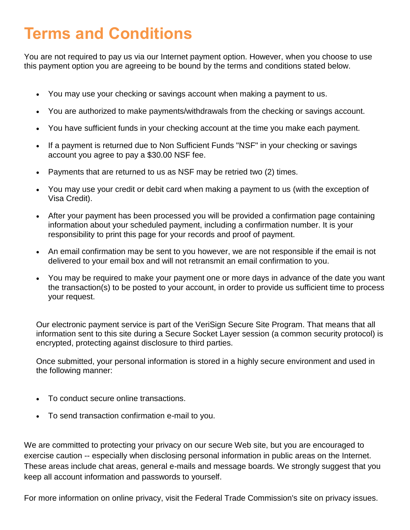## **Terms and Conditions**

You are not required to pay us via our Internet payment option. However, when you choose to use this payment option you are agreeing to be bound by the terms and conditions stated below.

- You may use your checking or savings account when making a payment to us.
- You are authorized to make payments/withdrawals from the checking or savings account.
- You have sufficient funds in your checking account at the time you make each payment.
- If a payment is returned due to Non Sufficient Funds "NSF" in your checking or savings account you agree to pay a \$30.00 NSF fee.
- Payments that are returned to us as NSF may be retried two (2) times.
- You may use your credit or debit card when making a payment to us (with the exception of Visa Credit).
- After your payment has been processed you will be provided a confirmation page containing information about your scheduled payment, including a confirmation number. It is your responsibility to print this page for your records and proof of payment.
- An email confirmation may be sent to you however, we are not responsible if the email is not delivered to your email box and will not retransmit an email confirmation to you.
- You may be required to make your payment one or more days in advance of the date you want the transaction(s) to be posted to your account, in order to provide us sufficient time to process your request.

Our electronic payment service is part of the VeriSign Secure Site Program. That means that all information sent to this site during a Secure Socket Layer session (a common security protocol) is encrypted, protecting against disclosure to third parties.

Once submitted, your personal information is stored in a highly secure environment and used in the following manner:

- To conduct secure online transactions.
- To send transaction confirmation e-mail to you.

We are committed to protecting your privacy on our secure Web site, but you are encouraged to exercise caution -- especially when disclosing personal information in public areas on the Internet. These areas include chat areas, general e-mails and message boards. We strongly suggest that you keep all account information and passwords to yourself.

For more information on online privacy, visit the Federal Trade Commission's site on privacy issues.